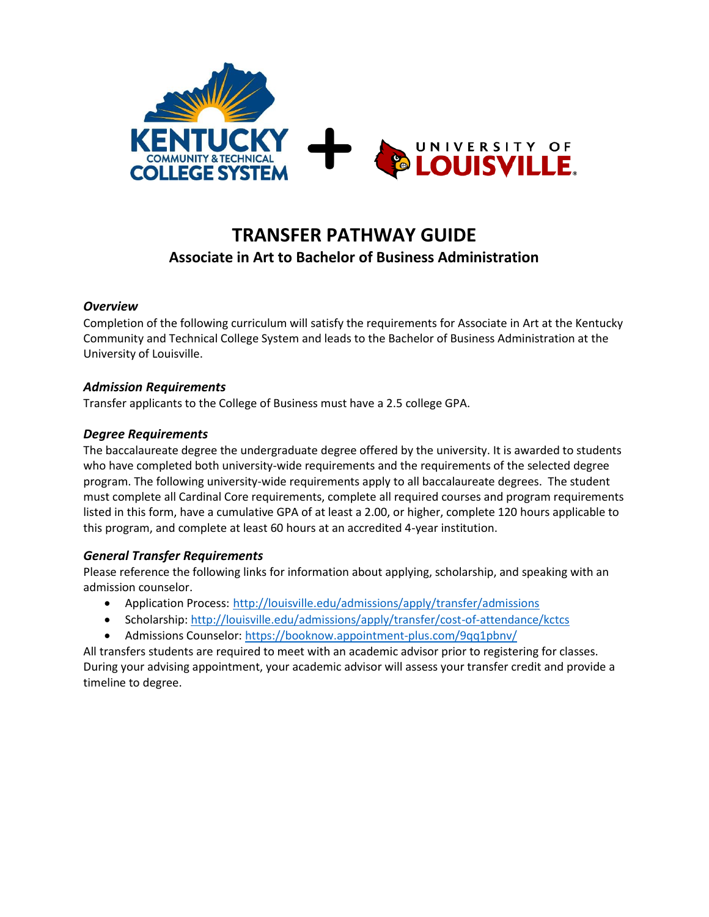

# **TRANSFER PATHWAY GUIDE Associate in Art to Bachelor of Business Administration**

## *Overview*

Completion of the following curriculum will satisfy the requirements for Associate in Art at the Kentucky Community and Technical College System and leads to the Bachelor of Business Administration at the University of Louisville.

## *Admission Requirements*

Transfer applicants to the College of Business must have a 2.5 college GPA.

## *Degree Requirements*

The baccalaureate degree the undergraduate degree offered by the university. It is awarded to students who have completed both university-wide requirements and the requirements of the selected degree program. The following university-wide requirements apply to all baccalaureate degrees. The student must complete all Cardinal Core requirements, complete all required courses and program requirements listed in this form, have a cumulative GPA of at least a 2.00, or higher, complete 120 hours applicable to this program, and complete at least 60 hours at an accredited 4-year institution.

#### *General Transfer Requirements*

Please reference the following links for information about applying, scholarship, and speaking with an admission counselor.

- Application Process: <http://louisville.edu/admissions/apply/transfer/admissions>
- Scholarship[: http://louisville.edu/admissions/apply/transfer/cost-of-attendance/kctcs](http://louisville.edu/admissions/apply/transfer/cost-of-attendance/kctcs)
- Admissions Counselor[: https://booknow.appointment-plus.com/9qq1pbnv/](https://booknow.appointment-plus.com/9qq1pbnv/)

All transfers students are required to meet with an academic advisor prior to registering for classes. During your advising appointment, your academic advisor will assess your transfer credit and provide a timeline to degree.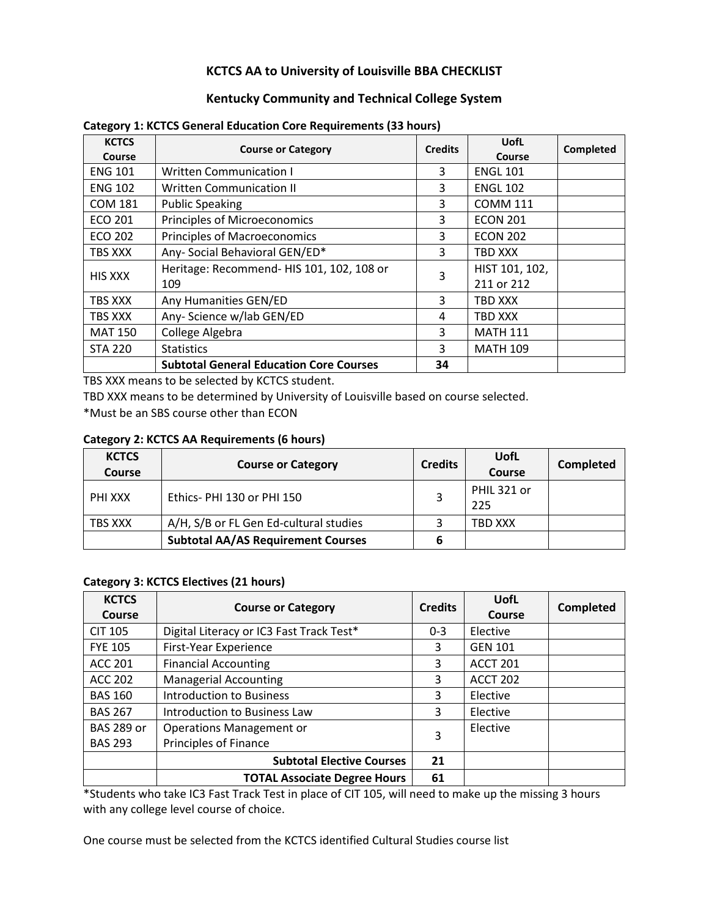# **KCTCS AA to University of Louisville BBA CHECKLIST**

## **Kentucky Community and Technical College System**

| <b>KCTCS</b><br>Course | <b>Course or Category</b>                      | <b>Credits</b> | UofL<br><b>Course</b> | Completed |
|------------------------|------------------------------------------------|----------------|-----------------------|-----------|
| <b>ENG 101</b>         | <b>Written Communication I</b>                 | 3              | <b>ENGL 101</b>       |           |
| <b>ENG 102</b>         | <b>Written Communication II</b>                | 3              | <b>ENGL 102</b>       |           |
| <b>COM 181</b>         | <b>Public Speaking</b>                         | 3              | <b>COMM 111</b>       |           |
| <b>ECO 201</b>         | Principles of Microeconomics                   | 3              | <b>ECON 201</b>       |           |
| ECO 202                | Principles of Macroeconomics                   | 3              | <b>ECON 202</b>       |           |
| TBS XXX                | Any- Social Behavioral GEN/ED*                 | 3              | TBD XXX               |           |
| <b>HIS XXX</b>         | Heritage: Recommend- HIS 101, 102, 108 or      | 3              | HIST 101, 102,        |           |
|                        | 109                                            |                | 211 or 212            |           |
| TBS XXX                | Any Humanities GEN/ED                          | 3              | TBD XXX               |           |
| TBS XXX                | Any- Science w/lab GEN/ED                      | 4              | TBD XXX               |           |
| <b>MAT 150</b>         | College Algebra                                | 3              | <b>MATH 111</b>       |           |
| <b>STA 220</b>         | <b>Statistics</b>                              | 3              | <b>MATH 109</b>       |           |
|                        | <b>Subtotal General Education Core Courses</b> | 34             |                       |           |

#### **Category 1: KCTCS General Education Core Requirements (33 hours)**

TBS XXX means to be selected by KCTCS student.

TBD XXX means to be determined by University of Louisville based on course selected.

\*Must be an SBS course other than ECON

#### **Category 2: KCTCS AA Requirements (6 hours)**

| <b>KCTCS</b><br>Course | <b>Course or Category</b>                 | <b>Credits</b> | <b>UofL</b><br><b>Course</b> | <b>Completed</b> |
|------------------------|-------------------------------------------|----------------|------------------------------|------------------|
| PHI XXX                | Ethics-PHI 130 or PHI 150                 |                | PHIL 321 or<br>225           |                  |
| TBS XXX                | A/H, S/B or FL Gen Ed-cultural studies    |                | TBD XXX                      |                  |
|                        | <b>Subtotal AA/AS Requirement Courses</b> | b              |                              |                  |

#### **Category 3: KCTCS Electives (21 hours)**

| <b>KCTCS</b><br>Course | <b>Course or Category</b>                | <b>Credits</b> | UofL<br>Course  | <b>Completed</b> |
|------------------------|------------------------------------------|----------------|-----------------|------------------|
| <b>CIT 105</b>         | Digital Literacy or IC3 Fast Track Test* | $0 - 3$        | Elective        |                  |
| <b>FYE 105</b>         | First-Year Experience                    | 3              | <b>GEN 101</b>  |                  |
| <b>ACC 201</b>         | <b>Financial Accounting</b>              | 3              | ACCT 201        |                  |
| <b>ACC 202</b>         | <b>Managerial Accounting</b>             | 3              | <b>ACCT 202</b> |                  |
| <b>BAS 160</b>         | <b>Introduction to Business</b>          | 3              | Elective        |                  |
| <b>BAS 267</b>         | Introduction to Business Law             | 3              | Elective        |                  |
| <b>BAS 289 or</b>      | <b>Operations Management or</b>          | 3              | Elective        |                  |
| <b>BAS 293</b>         | Principles of Finance                    |                |                 |                  |
|                        | <b>Subtotal Elective Courses</b>         | 21             |                 |                  |
|                        | <b>TOTAL Associate Degree Hours</b>      | 61             |                 |                  |

\*Students who take IC3 Fast Track Test in place of CIT 105, will need to make up the missing 3 hours with any college level course of choice.

One course must be selected from the KCTCS identified Cultural Studies course list